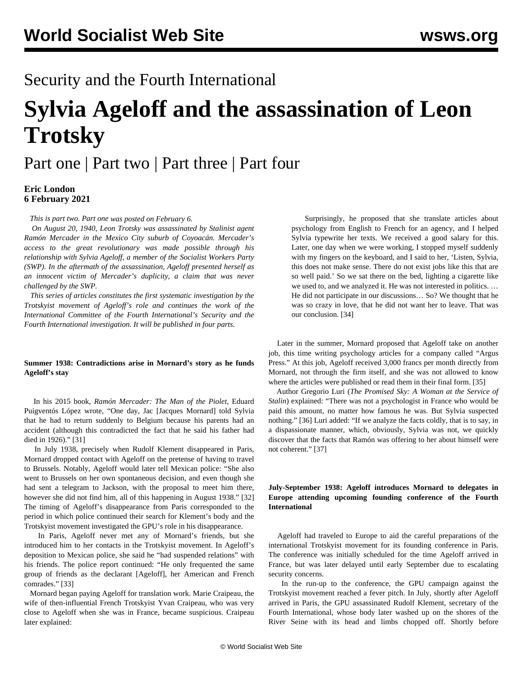# Security and the Fourth International

# **Sylvia Ageloff and the assassination of Leon Trotsky**

# [Part one](/en/articles/2021/02/06/sylv-f06.html) | [Part two](/en/articles/2021/02/06/sylv-f07.html) | [Part three](/en/articles/2021/02/08/sylv-f08.html) | [Part four](/en/articles/2021/02/09/sylv-f09.html)

## **Eric London 6 February 2021**

*This is part two. [Part one](/en/articles/2021/02/06/sylv-f06.html) was posted on February 6.*

 *On August 20, 1940, Leon Trotsky was assassinated by Stalinist agent Ramón Mercader in the Mexico City suburb of Coyoacán. Mercader's access to the great revolutionary was made possible through his relationship with Sylvia Ageloff, a member of the Socialist Workers Party (SWP). In the aftermath of the assassination, Ageloff presented herself as an innocent victim of Mercader's duplicity, a claim that was never challenged by the SWP.*

 *This series of articles constitutes the first systematic investigation by the Trotskyist movement of Ageloff's role and continues the work of the International Committee of the Fourth International's Security and the Fourth International investigation. It will be published in four parts.*

## **Summer 1938: Contradictions arise in Mornard's story as he funds Ageloff's stay**

 In his 2015 book, *Ramón Mercader: The Man of the Piolet*, Eduard Puigventós López wrote, "One day, Jac [Jacques Mornard] told Sylvia that he had to return suddenly to Belgium because his parents had an accident (although this contradicted the fact that he said his father had died in 1926)." [31]

 In July 1938, precisely when Rudolf Klement disappeared in Paris, Mornard dropped contact with Ageloff on the pretense of having to travel to Brussels. Notably, Ageloff would later tell Mexican police: "She also went to Brussels on her own spontaneous decision, and even though she had sent a telegram to Jackson, with the proposal to meet him there, however she did not find him, all of this happening in August 1938." [32] The timing of Ageloff's disappearance from Paris corresponded to the period in which police continued their search for Klement's body and the Trotskyist movement investigated the GPU's role in his disappearance.

 In Paris, Ageloff never met any of Mornard's friends, but she introduced him to her contacts in the Trotskyist movement. In Ageloff's deposition to Mexican police, she said he "had suspended relations" with his friends. The police report continued: "He only frequented the same group of friends as the declarant [Ageloff], her American and French comrades." [33]

 Mornard began paying Ageloff for translation work. Marie Craipeau, the wife of then-influential French Trotskyist Yvan Craipeau, who was very close to Ageloff when she was in France, became suspicious. Craipeau later explained:

 Surprisingly, he proposed that she translate articles about psychology from English to French for an agency, and I helped Sylvia typewrite her texts. We received a good salary for this. Later, one day when we were working, I stopped myself suddenly with my fingers on the keyboard, and I said to her, 'Listen, Sylvia, this does not make sense. There do not exist jobs like this that are so well paid.' So we sat there on the bed, lighting a cigarette like we used to, and we analyzed it. He was not interested in politics. … He did not participate in our discussions… So? We thought that he was so crazy in love, that he did not want her to leave. That was our conclusion. [34]

 Later in the summer, Mornard proposed that Ageloff take on another job, this time writing psychology articles for a company called "Argus Press." At this job, Ageloff received 3,000 francs per month directly from Mornard, not through the firm itself, and she was not allowed to know where the articles were published or read them in their final form. [35]

 Author Gregorio Luri (*The Promised Sky: A Woman at the Service of Stalin*) explained: "There was not a psychologist in France who would be paid this amount, no matter how famous he was. But Sylvia suspected nothing." [36] Luri added: "If we analyze the facts coldly, that is to say, in a dispassionate manner, which, obviously, Sylvia was not, we quickly discover that the facts that Ramón was offering to her about himself were not coherent." [37]

## **July-September 1938: Ageloff introduces Mornard to delegates in Europe attending upcoming founding conference of the Fourth International**

 Ageloff had traveled to Europe to aid the careful preparations of the international Trotskyist movement for its founding conference in Paris. The conference was initially scheduled for the time Ageloff arrived in France, but was later delayed until early September due to escalating security concerns.

 In the run-up to the conference, the GPU campaign against the Trotskyist movement reached a fever pitch. In July, shortly after Ageloff arrived in Paris, the GPU assassinated Rudolf Klement, secretary of the Fourth International, whose body later washed up on the shores of the River Seine with its head and limbs chopped off. Shortly before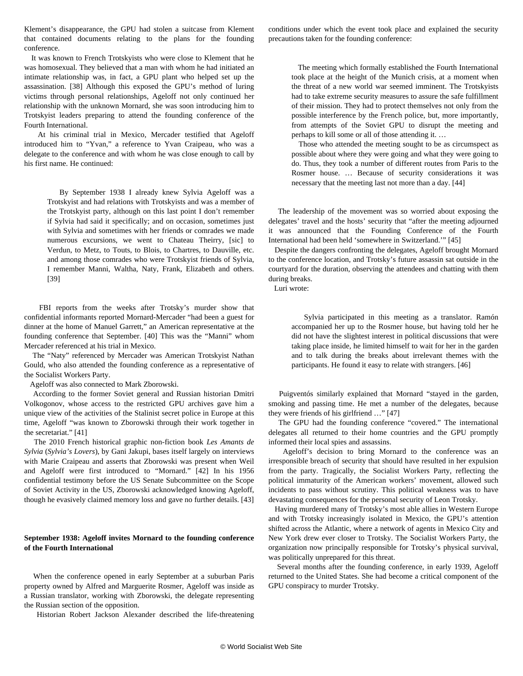Klement's disappearance, the GPU had stolen a suitcase from Klement that contained documents relating to the plans for the founding conference.

 It was known to French Trotskyists who were close to Klement that he was homosexual. They believed that a man with whom he had initiated an intimate relationship was, in fact, a GPU plant who helped set up the assassination. [38] Although this exposed the GPU's method of luring victims through personal relationships, Ageloff not only continued her relationship with the unknown Mornard, she was soon introducing him to Trotskyist leaders preparing to attend the founding conference of the Fourth International.

 At his criminal trial in Mexico, Mercader testified that Ageloff introduced him to "Yvan," a reference to Yvan Craipeau, who was a delegate to the conference and with whom he was close enough to call by his first name. He continued:

> By September 1938 I already knew Sylvia Ageloff was a Trotskyist and had relations with Trotskyists and was a member of the Trotskyist party, although on this last point I don't remember if Sylvia had said it specifically; and on occasion, sometimes just with Sylvia and sometimes with her friends or comrades we made numerous excursions, we went to Chateau Theirry, [sic] to Verdun, to Metz, to Touts, to Blois, to Chartres, to Dauville, etc. and among those comrades who were Trotskyist friends of Sylvia, I remember Manni, Waltha, Naty, Frank, Elizabeth and others. [39]

 FBI reports from the weeks after Trotsky's murder show that confidential informants reported Mornard-Mercader "had been a guest for dinner at the home of Manuel Garrett," an American representative at the founding conference that September. [40] This was the "Manni" whom Mercader referenced at his trial in Mexico.

 The "Naty" referenced by Mercader was American Trotskyist Nathan Gould, who also attended the founding conference as a representative of the Socialist Workers Party.

Ageloff was also connected to Mark Zborowski.

 According to the former Soviet general and Russian historian Dmitri Volkogonov, whose access to the restricted GPU archives gave him a unique view of the activities of the Stalinist secret police in Europe at this time, Ageloff "was known to Zborowski through their work together in the secretariat." [41]

 The 2010 French historical graphic non-fiction book *Les Amants de Sylvia* (*Sylvia's Lovers*), by Gani Jakupi, bases itself largely on interviews with Marie Craipeau and asserts that Zborowski was present when Weil and Ageloff were first introduced to "Mornard." [42] In his 1956 confidential testimony before the US Senate Subcommittee on the Scope of Soviet Activity in the US, Zborowski acknowledged knowing Ageloff, though he evasively claimed memory loss and gave no further details. [43]

#### **September 1938: Ageloff invites Mornard to the founding conference of the Fourth International**

 When the conference opened in early September at a suburban Paris property owned by Alfred and Marguerite Rosmer, Ageloff was inside as a Russian translator, working with Zborowski, the delegate representing the Russian section of the opposition.

Historian Robert Jackson Alexander described the life-threatening

conditions under which the event took place and explained the security precautions taken for the founding conference:

 The meeting which formally established the Fourth International took place at the height of the Munich crisis, at a moment when the threat of a new world war seemed imminent. The Trotskyists had to take extreme security measures to assure the safe fulfillment of their mission. They had to protect themselves not only from the possible interference by the French police, but, more importantly, from attempts of the Soviet GPU to disrupt the meeting and perhaps to kill some or all of those attending it. …

 Those who attended the meeting sought to be as circumspect as possible about where they were going and what they were going to do. Thus, they took a number of different routes from Paris to the Rosmer house. … Because of security considerations it was necessary that the meeting last not more than a day. [44]

 The leadership of the movement was so worried about exposing the delegates' travel and the hosts' security that "after the meeting adjourned it was announced that the Founding Conference of the Fourth International had been held 'somewhere in Switzerland.'" [45]

 Despite the dangers confronting the delegates, Ageloff brought Mornard to the conference location, and Trotsky's future assassin sat outside in the courtyard for the duration, observing the attendees and chatting with them during breaks.

Luri wrote:

 Sylvia participated in this meeting as a translator. Ramón accompanied her up to the Rosmer house, but having told her he did not have the slightest interest in political discussions that were taking place inside, he limited himself to wait for her in the garden and to talk during the breaks about irrelevant themes with the participants. He found it easy to relate with strangers. [46]

 Puigventós similarly explained that Mornard "stayed in the garden, smoking and passing time. He met a number of the delegates, because they were friends of his girlfriend …" [47]

 The GPU had the founding conference "covered." The international delegates all returned to their home countries and the GPU promptly informed their local spies and assassins.

 Ageloff's decision to bring Mornard to the conference was an irresponsible breach of security that should have resulted in her expulsion from the party. Tragically, the Socialist Workers Party, reflecting the political immaturity of the American workers' movement, allowed such incidents to pass without scrutiny. This political weakness was to have devastating consequences for the personal security of Leon Trotsky.

 Having murdered many of Trotsky's most able allies in Western Europe and with Trotsky increasingly isolated in Mexico, the GPU's attention shifted across the Atlantic, where a network of agents in Mexico City and New York drew ever closer to Trotsky. The Socialist Workers Party, the organization now principally responsible for Trotsky's physical survival, was politically unprepared for this threat.

 Several months after the founding conference, in early 1939, Ageloff returned to the United States. She had become a critical component of the GPU conspiracy to murder Trotsky.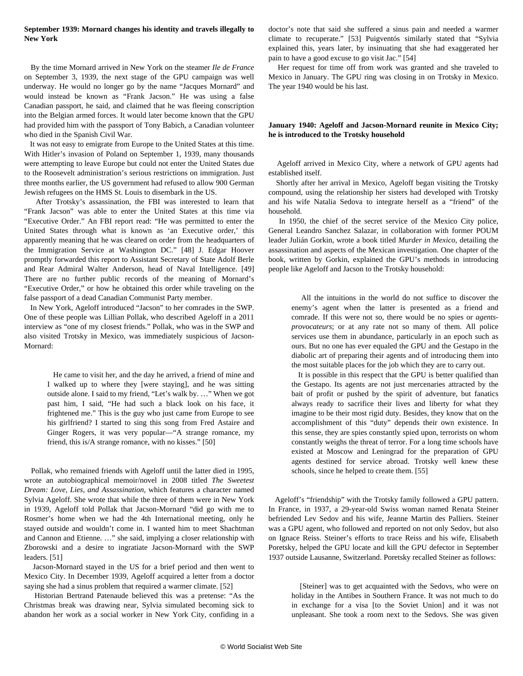#### **September 1939: Mornard changes his identity and travels illegally to New York**

 By the time Mornard arrived in New York on the steamer *Ile de France* on September 3, 1939, the next stage of the GPU campaign was well underway. He would no longer go by the name "Jacques Mornard" and would instead be known as "Frank Jacson." He was using a false Canadian passport, he said, and claimed that he was fleeing conscription into the Belgian armed forces. It would later become known that the GPU had provided him with the passport of Tony Babich, a Canadian volunteer who died in the Spanish Civil War.

 It was not easy to emigrate from Europe to the United States at this time. With Hitler's invasion of Poland on September 1, 1939, many thousands were attempting to leave Europe but could not enter the United States due to the Roosevelt administration's serious restrictions on immigration. Just three months earlier, the US government had refused to allow 900 German Jewish refugees on the HMS St. Louis to disembark in the US.

 After Trotsky's assassination, the FBI was interested to learn that "Frank Jacson" was able to enter the United States at this time via "Executive Order." An FBI report read: "He was permitted to enter the United States through what is known as 'an Executive order,' this apparently meaning that he was cleared on order from the headquarters of the Immigration Service at Washington DC." [48] J. Edgar Hoover promptly forwarded this report to Assistant Secretary of State Adolf Berle and Rear Admiral Walter Anderson, head of Naval Intelligence. [49] There are no further public records of the meaning of Mornard's "Executive Order," or how he obtained this order while traveling on the false passport of a dead Canadian Communist Party member.

 In New York, Ageloff introduced "Jacson" to her comrades in the SWP. One of these people was Lillian Pollak, who described Ageloff in a 2011 interview as "one of my closest friends." Pollak, who was in the SWP and also visited Trotsky in Mexico, was immediately suspicious of Jacson-Mornard:

 He came to visit her, and the day he arrived, a friend of mine and I walked up to where they [were staying], and he was sitting outside alone. I said to my friend, "Let's walk by. …" When we got past him, I said, "He had such a black look on his face, it frightened me." This is the guy who just came from Europe to see his girlfriend? I started to sing this song from Fred Astaire and Ginger Rogers, it was very popular—"A strange romance, my friend, this is/A strange romance, with no kisses." [50]

 Pollak, who remained friends with Ageloff until the latter died in 1995, wrote an autobiographical memoir/novel in 2008 titled *The Sweetest Dream: Love, Lies, and Assassination*, which features a character named Sylvia Ageloff. She wrote that while the three of them were in New York in 1939, Ageloff told Pollak that Jacson-Mornard "did go with me to Rosmer's home when we had the 4th International meeting, only he stayed outside and wouldn't come in. I wanted him to meet Shachtman and Cannon and Etienne. …" she said, implying a closer relationship with Zborowski and a desire to ingratiate Jacson-Mornard with the SWP leaders. [51]

 Jacson-Mornard stayed in the US for a brief period and then went to Mexico City. In December 1939, Ageloff acquired a letter from a doctor saying she had a sinus problem that required a warmer climate. [52]

 Historian Bertrand Patenaude believed this was a pretense: "As the Christmas break was drawing near, Sylvia simulated becoming sick to abandon her work as a social worker in New York City, confiding in a doctor's note that said she suffered a sinus pain and needed a warmer climate to recuperate." [53] Puigventós similarly stated that "Sylvia explained this, years later, by insinuating that she had exaggerated her pain to have a good excuse to go visit Jac." [54]

 Her request for time off from work was granted and she traveled to Mexico in January. The GPU ring was closing in on Trotsky in Mexico. The year 1940 would be his last.

#### **January 1940: Ageloff and Jacson-Mornard reunite in Mexico City; he is introduced to the Trotsky household**

 Ageloff arrived in Mexico City, where a network of GPU agents had established itself.

 Shortly after her arrival in Mexico, Ageloff began visiting the Trotsky compound, using the relationship her sisters had developed with Trotsky and his wife Natalia Sedova to integrate herself as a "friend" of the household.

 In 1950, the chief of the secret service of the Mexico City police, General Leandro Sanchez Salazar, in collaboration with former POUM leader Julián Gorkin, wrote a book titled *Murder in Mexico*, detailing the assassination and aspects of the Mexican investigation. One chapter of the book, written by Gorkin, explained the GPU's methods in introducing people like Ageloff and Jacson to the Trotsky household:

 All the intuitions in the world do not suffice to discover the enemy's agent when the latter is presented as a friend and comrade. If this were not so, there would be no spies or *agentsprovocateurs*; or at any rate not so many of them. All police services use them in abundance, particularly in an epoch such as ours. But no one has ever equaled the GPU and the Gestapo in the diabolic art of preparing their agents and of introducing them into the most suitable places for the job which they are to carry out.

 It is possible in this respect that the GPU is better qualified than the Gestapo. Its agents are not just mercenaries attracted by the bait of profit or pushed by the spirit of adventure, but fanatics always ready to sacrifice their lives and liberty for what they imagine to be their most rigid duty. Besides, they know that on the accomplishment of this "duty" depends their own existence. In this sense, they are spies constantly spied upon, terrorists on whom constantly weighs the threat of terror. For a long time schools have existed at Moscow and Leningrad for the preparation of GPU agents destined for service abroad. Trotsky well knew these schools, since he helped to create them. [55]

 Ageloff's "friendship" with the Trotsky family followed a GPU pattern. In France, in 1937, a 29-year-old Swiss woman named Renata Steiner befriended Lev Sedov and his wife, Jeanne Martin des Palliers. Steiner was a GPU agent, who followed and reported on not only Sedov, but also on Ignace Reiss. Steiner's efforts to trace Reiss and his wife, Elisabeth Poretsky, helped the GPU locate and kill the GPU defector in September 1937 outside Lausanne, Switzerland. Poretsky recalled Steiner as follows:

 [Steiner] was to get acquainted with the Sedovs, who were on holiday in the Antibes in Southern France. It was not much to do in exchange for a visa [to the Soviet Union] and it was not unpleasant. She took a room next to the Sedovs. She was given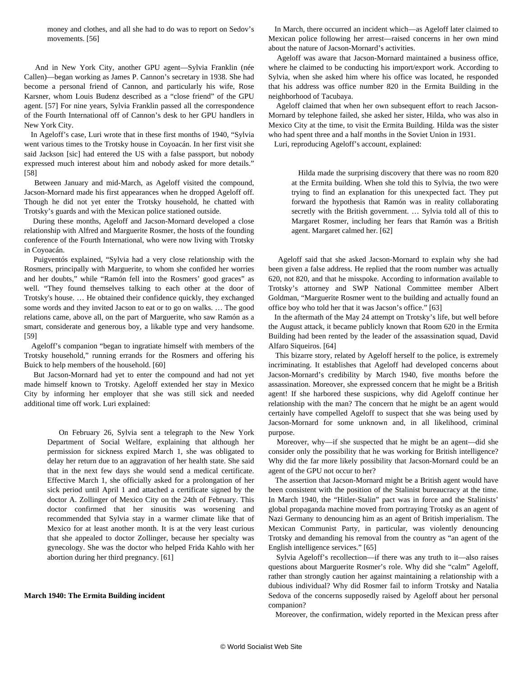money and clothes, and all she had to do was to report on Sedov's movements. [56]

 And in New York City, another GPU agent—Sylvia Franklin (née Callen)—began working as James P. Cannon's secretary in 1938. She had become a personal friend of Cannon, and particularly his wife, Rose Karsner, whom Louis Budenz described as a "close friend" of the GPU agent. [57] For nine years, Sylvia Franklin passed all the correspondence of the Fourth International off of Cannon's desk to her GPU handlers in New York City.

 In Ageloff's case, Luri wrote that in these first months of 1940, "Sylvia went various times to the Trotsky house in Coyoacán. In her first visit she said Jackson [sic] had entered the US with a false passport, but nobody expressed much interest about him and nobody asked for more details." [58]

 Between January and mid-March, as Ageloff visited the compound, Jacson-Mornard made his first appearances when he dropped Ageloff off. Though he did not yet enter the Trotsky household, he chatted with Trotsky's guards and with the Mexican police stationed outside.

 During these months, Ageloff and Jacson-Mornard developed a close relationship with Alfred and Marguerite Rosmer, the hosts of the founding conference of the Fourth International, who were now living with Trotsky in Coyoacán.

 Puigventós explained, "Sylvia had a very close relationship with the Rosmers, principally with Marguerite, to whom she confided her worries and her doubts," while "Ramón fell into the Rosmers' good graces" as well. "They found themselves talking to each other at the door of Trotsky's house. … He obtained their confidence quickly, they exchanged some words and they invited Jacson to eat or to go on walks. … The good relations came, above all, on the part of Marguerite, who saw Ramón as a smart, considerate and generous boy, a likable type and very handsome. [59]

 Ageloff's companion "began to ingratiate himself with members of the Trotsky household," running errands for the Rosmers and offering his Buick to help members of the household. [60]

 But Jacson-Mornard had yet to enter the compound and had not yet made himself known to Trotsky. Ageloff extended her stay in Mexico City by informing her employer that she was still sick and needed additional time off work. Luri explained:

 On February 26, Sylvia sent a telegraph to the New York Department of Social Welfare, explaining that although her permission for sickness expired March 1, she was obligated to delay her return due to an aggravation of her health state. She said that in the next few days she would send a medical certificate. Effective March 1, she officially asked for a prolongation of her sick period until April 1 and attached a certificate signed by the doctor A. Zollinger of Mexico City on the 24th of February. This doctor confirmed that her sinusitis was worsening and recommended that Sylvia stay in a warmer climate like that of Mexico for at least another month. It is at the very least curious that she appealed to doctor Zollinger, because her specialty was gynecology. She was the doctor who helped Frida Kahlo with her abortion during her third pregnancy. [61]

#### **March 1940: The Ermita Building incident**

 In March, there occurred an incident which—as Ageloff later claimed to Mexican police following her arrest—raised concerns in her own mind about the nature of Jacson-Mornard's activities.

 Ageloff was aware that Jacson-Mornard maintained a business office, where he claimed to be conducting his import/export work. According to Sylvia, when she asked him where his office was located, he responded that his address was office number 820 in the Ermita Building in the neighborhood of Tacubaya.

 Ageloff claimed that when her own subsequent effort to reach Jacson-Mornard by telephone failed, she asked her sister, Hilda, who was also in Mexico City at the time, to visit the Ermita Building. Hilda was the sister who had spent three and a half months in the Soviet Union in 1931.

Luri, reproducing Ageloff's account, explained:

Hilda made the surprising discovery that there was no room 820 at the Ermita building. When she told this to Sylvia, the two were trying to find an explanation for this unexpected fact. They put forward the hypothesis that Ramón was in reality collaborating secretly with the British government. … Sylvia told all of this to Margaret Rosmer, including her fears that Ramón was a British agent. Margaret calmed her. [62]

 Ageloff said that she asked Jacson-Mornard to explain why she had been given a false address. He replied that the room number was actually 620, not 820, and that he misspoke. According to information available to Trotsky's attorney and SWP National Committee member Albert Goldman, "Marguerite Rosmer went to the building and actually found an office boy who told her that it was Jacson's office." [63]

 In the aftermath of the May 24 attempt on Trotsky's life, but well before the August attack, it became publicly known that Room 620 in the Ermita Building had been rented by the leader of the assassination squad, David Alfaro Siqueiros. [64]

 This bizarre story, related by Ageloff herself to the police, is extremely incriminating. It establishes that Ageloff had developed concerns about Jacson-Mornard's credibility by March 1940, five months before the assassination. Moreover, she expressed concern that he might be a British agent! If she harbored these suspicions, why did Ageloff continue her relationship with the man? The concern that he might be an agent would certainly have compelled Ageloff to suspect that she was being used by Jacson-Mornard for some unknown and, in all likelihood, criminal purpose.

 Moreover, why—if she suspected that he might be an agent—did she consider only the possibility that he was working for British intelligence? Why did the far more likely possibility that Jacson-Mornard could be an agent of the GPU not occur to her?

 The assertion that Jacson-Mornard might be a British agent would have been consistent with the position of the Stalinist bureaucracy at the time. In March 1940, the "Hitler-Stalin" pact was in force and the Stalinists' global propaganda machine moved from portraying Trotsky as an agent of Nazi Germany to denouncing him as an agent of British imperialism. The Mexican Communist Party, in particular, was violently denouncing Trotsky and demanding his removal from the country as "an agent of the English intelligence services." [65]

 Sylvia Ageloff's recollection—if there was any truth to it—also raises questions about Marguerite Rosmer's role. Why did she "calm" Ageloff, rather than strongly caution her against maintaining a relationship with a dubious individual? Why did Rosmer fail to inform Trotsky and Natalia Sedova of the concerns supposedly raised by Ageloff about her personal companion?

Moreover, the confirmation, widely reported in the Mexican press after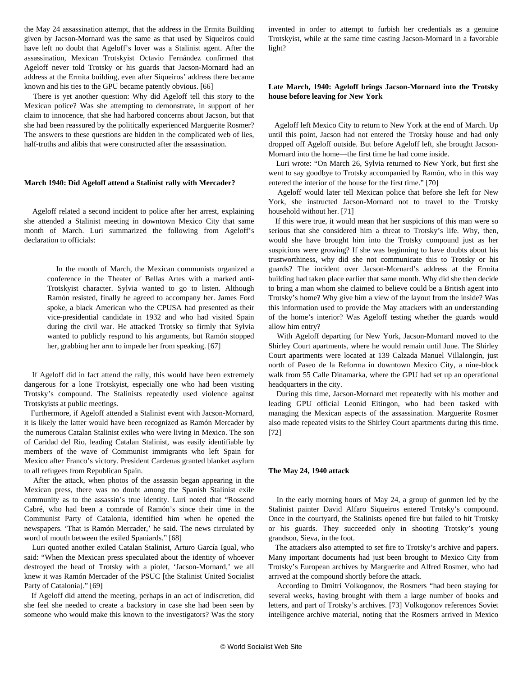the May 24 assassination attempt, that the address in the Ermita Building given by Jacson-Mornard was the same as that used by Siqueiros could have left no doubt that Ageloff's lover was a Stalinist agent. After the assassination, Mexican Trotskyist Octavio Fernández confirmed that Ageloff never told Trotsky or his guards that Jacson-Mornard had an address at the Ermita building, even after Siqueiros' address there became known and his ties to the GPU became patently obvious. [66]

 There is yet another question: Why did Ageloff tell this story to the Mexican police? Was she attempting to demonstrate, in support of her claim to innocence, that she had harbored concerns about Jacson, but that she had been reassured by the politically experienced Marguerite Rosmer? The answers to these questions are hidden in the complicated web of lies, half-truths and alibis that were constructed after the assassination.

#### **March 1940: Did Ageloff attend a Stalinist rally with Mercader?**

 Ageloff related a second incident to police after her arrest, explaining she attended a Stalinist meeting in downtown Mexico City that same month of March. Luri summarized the following from Ageloff's declaration to officials:

 In the month of March, the Mexican communists organized a conference in the Theater of Bellas Artes with a marked anti-Trotskyist character. Sylvia wanted to go to listen. Although Ramón resisted, finally he agreed to accompany her. James Ford spoke, a black American who the CPUSA had presented as their vice-presidential candidate in 1932 and who had visited Spain during the civil war. He attacked Trotsky so firmly that Sylvia wanted to publicly respond to his arguments, but Ramón stopped her, grabbing her arm to impede her from speaking. [67]

 If Ageloff did in fact attend the rally, this would have been extremely dangerous for a lone Trotskyist, especially one who had been visiting Trotsky's compound. The Stalinists repeatedly used violence against Trotskyists at public meetings.

 Furthermore, if Ageloff attended a Stalinist event with Jacson-Mornard, it is likely the latter would have been recognized as Ramón Mercader by the numerous Catalan Stalinist exiles who were living in Mexico. The son of Caridad del Rio, leading Catalan Stalinist, was easily identifiable by members of the wave of Communist immigrants who left Spain for Mexico after Franco's victory. President Cardenas granted blanket asylum to all refugees from Republican Spain.

 After the attack, when photos of the assassin began appearing in the Mexican press, there was no doubt among the Spanish Stalinist exile community as to the assassin's true identity. Luri noted that "Rossend Cabré, who had been a comrade of Ramón's since their time in the Communist Party of Catalonia, identified him when he opened the newspapers. 'That is Ramón Mercader,' he said. The news circulated by word of mouth between the exiled Spaniards." [68]

 Luri quoted another exiled Catalan Stalinist, Arturo García Igual, who said: "When the Mexican press speculated about the identity of whoever destroyed the head of Trotsky with a piolet, 'Jacson-Mornard,' we all knew it was Ramón Mercader of the PSUC [the Stalinist United Socialist Party of Catalonia]." [69]

 If Ageloff did attend the meeting, perhaps in an act of indiscretion, did she feel she needed to create a backstory in case she had been seen by someone who would make this known to the investigators? Was the story

invented in order to attempt to furbish her credentials as a genuine Trotskyist, while at the same time casting Jacson-Mornard in a favorable light?

#### **Late March, 1940: Ageloff brings Jacson-Mornard into the Trotsky house before leaving for New York**

 Ageloff left Mexico City to return to New York at the end of March. Up until this point, Jacson had not entered the Trotsky house and had only dropped off Ageloff outside. But before Ageloff left, she brought Jacson-Mornard into the home—the first time he had come inside.

 Luri wrote: "On March 26, Sylvia returned to New York, but first she went to say goodbye to Trotsky accompanied by Ramón, who in this way entered the interior of the house for the first time." [70]

 Ageloff would later tell Mexican police that before she left for New York, she instructed Jacson-Mornard not to travel to the Trotsky household without her. [71]

 If this were true, it would mean that her suspicions of this man were so serious that she considered him a threat to Trotsky's life. Why, then, would she have brought him into the Trotsky compound just as her suspicions were growing? If she was beginning to have doubts about his trustworthiness, why did she not communicate this to Trotsky or his guards? The incident over Jacson-Mornard's address at the Ermita building had taken place earlier that same month. Why did she then decide to bring a man whom she claimed to believe could be a British agent into Trotsky's home? Why give him a view of the layout from the inside? Was this information used to provide the May attackers with an understanding of the home's interior? Was Ageloff testing whether the guards would allow him entry?

 With Ageloff departing for New York, Jacson-Mornard moved to the Shirley Court apartments, where he would remain until June. The Shirley Court apartments were located at 139 Calzada Manuel Villalongín, just north of Paseo de la Reforma in downtown Mexico City, a nine-block walk from 55 Calle Dinamarka, where the GPU had set up an operational headquarters in the city.

 During this time, Jacson-Mornard met repeatedly with his mother and leading GPU official Leonid Eitingon, who had been tasked with managing the Mexican aspects of the assassination. Marguerite Rosmer also made repeated visits to the Shirley Court apartments during this time. [72]

#### **The May 24, 1940 attack**

 In the early morning hours of May 24, a group of gunmen led by the Stalinist painter David Alfaro Siqueiros entered Trotsky's compound. Once in the courtyard, the Stalinists opened fire but failed to hit Trotsky or his guards. They succeeded only in shooting Trotsky's young grandson, Sieva, in the foot.

 The attackers also attempted to set fire to Trotsky's archive and papers. Many important documents had just been brought to Mexico City from Trotsky's European archives by Marguerite and Alfred Rosmer, who had arrived at the compound shortly before the attack.

 According to Dmitri Volkogonov, the Rosmers "had been staying for several weeks, having brought with them a large number of books and letters, and part of Trotsky's archives. [73] Volkogonov references Soviet intelligence archive material, noting that the Rosmers arrived in Mexico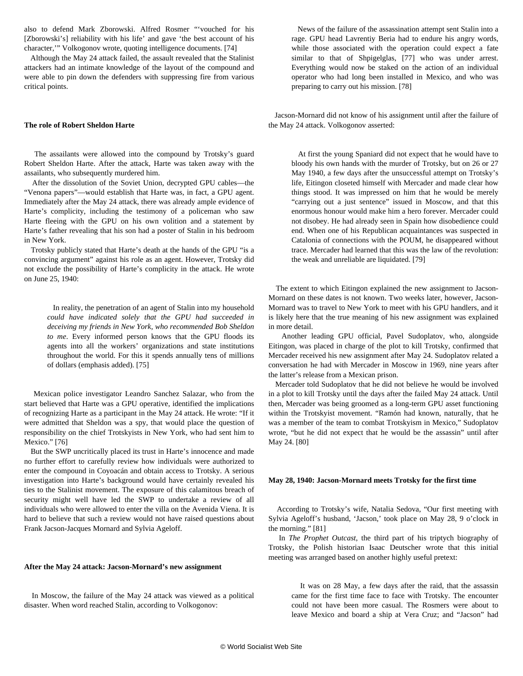also to defend Mark Zborowski. Alfred Rosmer "'vouched for his [Zborowski's] reliability with his life' and gave 'the best account of his character,'" Volkogonov wrote, quoting intelligence documents. [74]

 Although the May 24 attack failed, the assault revealed that the Stalinist attackers had an intimate knowledge of the layout of the compound and were able to pin down the defenders with suppressing fire from various critical points.

#### **The role of Robert Sheldon Harte**

 The assailants were allowed into the compound by Trotsky's guard Robert Sheldon Harte. After the attack, Harte was taken away with the assailants, who subsequently murdered him.

 After the dissolution of the Soviet Union, decrypted GPU cables—the "Venona papers"—would establish that Harte was, in fact, a GPU agent. Immediately after the May 24 attack, there was already ample evidence of Harte's complicity, including the testimony of a policeman who saw Harte fleeing with the GPU on his own volition and a statement by Harte's father revealing that his son had a poster of Stalin in his bedroom in New York.

 Trotsky publicly stated that Harte's death at the hands of the GPU "is a convincing argument" against his role as an agent. However, Trotsky did not exclude the possibility of Harte's complicity in the attack. He wrote on June 25, 1940:

 In reality, the penetration of an agent of Stalin into my household *could have indicated solely that the GPU had succeeded in deceiving my friends in New York, who recommended Bob Sheldon to me*. Every informed person knows that the GPU floods its agents into all the workers' organizations and state institutions throughout the world. For this it spends annually tens of millions of dollars (emphasis added). [75]

 Mexican police investigator Leandro Sanchez Salazar, who from the start believed that Harte was a GPU operative, identified the implications of recognizing Harte as a participant in the May 24 attack. He wrote: "If it were admitted that Sheldon was a spy, that would place the question of responsibility on the chief Trotskyists in New York, who had sent him to Mexico." [76]

 But the SWP uncritically placed its trust in Harte's innocence and made no further effort to carefully review how individuals were authorized to enter the compound in Coyoacán and obtain access to Trotsky. A serious investigation into Harte's background would have certainly revealed his ties to the Stalinist movement. The exposure of this calamitous breach of security might well have led the SWP to undertake a review of all individuals who were allowed to enter the villa on the Avenida Viena. It is hard to believe that such a review would not have raised questions about Frank Jacson-Jacques Mornard and Sylvia Ageloff.

#### **After the May 24 attack: Jacson-Mornard's new assignment**

 In Moscow, the failure of the May 24 attack was viewed as a political disaster. When word reached Stalin, according to Volkogonov:

 News of the failure of the assassination attempt sent Stalin into a rage. GPU head Lavrentiy Beria had to endure his angry words, while those associated with the operation could expect a fate similar to that of Shpigelglas, [77] who was under arrest. Everything would now be staked on the action of an individual operator who had long been installed in Mexico, and who was preparing to carry out his mission. [78]

 Jacson-Mornard did not know of his assignment until after the failure of the May 24 attack. Volkogonov asserted:

 At first the young Spaniard did not expect that he would have to bloody his own hands with the murder of Trotsky, but on 26 or 27 May 1940, a few days after the unsuccessful attempt on Trotsky's life, Eitingon closeted himself with Mercader and made clear how things stood. It was impressed on him that he would be merely "carrying out a just sentence" issued in Moscow, and that this enormous honour would make him a hero forever. Mercader could not disobey. He had already seen in Spain how disobedience could end. When one of his Republican acquaintances was suspected in Catalonia of connections with the POUM, he disappeared without trace. Mercader had learned that this was the law of the revolution: the weak and unreliable are liquidated. [79]

 The extent to which Eitingon explained the new assignment to Jacson-Mornard on these dates is not known. Two weeks later, however, Jacson-Mornard was to travel to New York to meet with his GPU handlers, and it is likely here that the true meaning of his new assignment was explained in more detail.

 Another leading GPU official, Pavel Sudoplatov, who, alongside Eitingon, was placed in charge of the plot to kill Trotsky, confirmed that Mercader received his new assignment after May 24. Sudoplatov related a conversation he had with Mercader in Moscow in 1969, nine years after the latter's release from a Mexican prison.

 Mercader told Sudoplatov that he did not believe he would be involved in a plot to kill Trotsky until the days after the failed May 24 attack. Until then, Mercader was being groomed as a long-term GPU asset functioning within the Trotskyist movement. "Ramón had known, naturally, that he was a member of the team to combat Trotskyism in Mexico," Sudoplatov wrote, "but he did not expect that he would be the assassin" until after May 24. [80]

#### **May 28, 1940: Jacson-Mornard meets Trotsky for the first time**

 According to Trotsky's wife, Natalia Sedova, "Our first meeting with Sylvia Ageloff's husband, 'Jacson,' took place on May 28, 9 o'clock in the morning." [81]

 In *The Prophet Outcast*, the third part of his triptych biography of Trotsky, the Polish historian Isaac Deutscher wrote that this initial meeting was arranged based on another highly useful pretext:

 It was on 28 May, a few days after the raid, that the assassin came for the first time face to face with Trotsky. The encounter could not have been more casual. The Rosmers were about to leave Mexico and board a ship at Vera Cruz; and "Jacson" had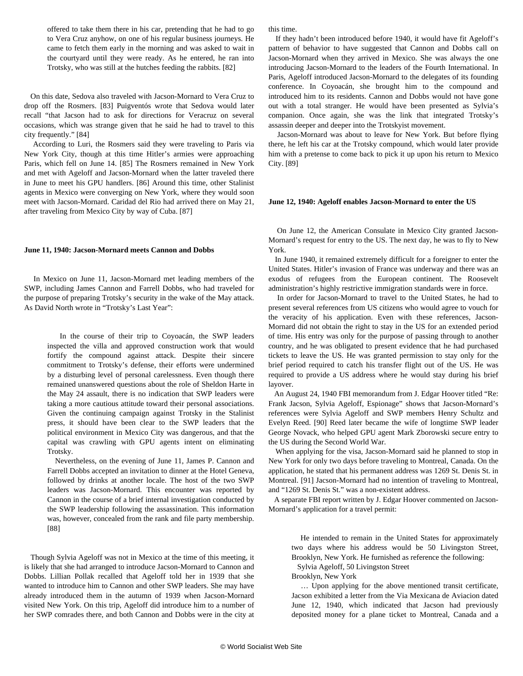offered to take them there in his car, pretending that he had to go to Vera Cruz anyhow, on one of his regular business journeys. He came to fetch them early in the morning and was asked to wait in the courtyard until they were ready. As he entered, he ran into Trotsky, who was still at the hutches feeding the rabbits. [82]

 On this date, Sedova also traveled with Jacson-Mornard to Vera Cruz to drop off the Rosmers. [83] Puigventós wrote that Sedova would later recall "that Jacson had to ask for directions for Veracruz on several occasions, which was strange given that he said he had to travel to this city frequently." [84]

 According to Luri, the Rosmers said they were traveling to Paris via New York City, though at this time Hitler's armies were approaching Paris, which fell on June 14. [85] The Rosmers remained in New York and met with Ageloff and Jacson-Mornard when the latter traveled there in June to meet his GPU handlers. [86] Around this time, other Stalinist agents in Mexico were converging on New York, where they would soon meet with Jacson-Mornard. Caridad del Rio had arrived there on May 21, after traveling from Mexico City by way of Cuba. [87]

#### **June 11, 1940: Jacson-Mornard meets Cannon and Dobbs**

 In Mexico on June 11, Jacson-Mornard met leading members of the SWP, including James Cannon and Farrell Dobbs, who had traveled for the purpose of preparing Trotsky's security in the wake of the May attack. As David North wrote in "Trotsky's Last Year":

 In the course of their trip to Coyoacán, the SWP leaders inspected the villa and approved construction work that would fortify the compound against attack. Despite their sincere commitment to Trotsky's defense, their efforts were undermined by a disturbing level of personal carelessness. Even though there remained unanswered questions about the role of Sheldon Harte in the May 24 assault, there is no indication that SWP leaders were taking a more cautious attitude toward their personal associations. Given the continuing campaign against Trotsky in the Stalinist press, it should have been clear to the SWP leaders that the political environment in Mexico City was dangerous, and that the capital was crawling with GPU agents intent on eliminating Trotsky.

 Nevertheless, on the evening of June 11, James P. Cannon and Farrell Dobbs accepted an invitation to dinner at the Hotel Geneva, followed by drinks at another locale. The host of the two SWP leaders was Jacson-Mornard. This encounter was reported by Cannon in the course of a brief internal investigation conducted by the SWP leadership following the assassination. This information was, however, concealed from the rank and file party membership. [88]

 Though Sylvia Ageloff was not in Mexico at the time of this meeting, it is likely that she had arranged to introduce Jacson-Mornard to Cannon and Dobbs. Lillian Pollak recalled that Ageloff told her in 1939 that she wanted to introduce him to Cannon and other SWP leaders. She may have already introduced them in the autumn of 1939 when Jacson-Mornard visited New York. On this trip, Ageloff did introduce him to a number of her SWP comrades there, and both Cannon and Dobbs were in the city at this time.

 If they hadn't been introduced before 1940, it would have fit Ageloff's pattern of behavior to have suggested that Cannon and Dobbs call on Jacson-Mornard when they arrived in Mexico. She was always the one introducing Jacson-Mornard to the leaders of the Fourth International. In Paris, Ageloff introduced Jacson-Mornard to the delegates of its founding conference. In Coyoacán, she brought him to the compound and introduced him to its residents. Cannon and Dobbs would not have gone out with a total stranger. He would have been presented as Sylvia's companion. Once again, she was the link that integrated Trotsky's assassin deeper and deeper into the Trotskyist movement.

 Jacson-Mornard was about to leave for New York. But before flying there, he left his car at the Trotsky compound, which would later provide him with a pretense to come back to pick it up upon his return to Mexico City. [89]

#### **June 12, 1940: Ageloff enables Jacson-Mornard to enter the US**

 On June 12, the American Consulate in Mexico City granted Jacson-Mornard's request for entry to the US. The next day, he was to fly to New York.

 In June 1940, it remained extremely difficult for a foreigner to enter the United States. Hitler's invasion of France was underway and there was an exodus of refugees from the European continent. The Roosevelt administration's highly restrictive immigration standards were in force.

 In order for Jacson-Mornard to travel to the United States, he had to present several references from US citizens who would agree to vouch for the veracity of his application. Even with these references, Jacson-Mornard did not obtain the right to stay in the US for an extended period of time. His entry was only for the purpose of passing through to another country, and he was obligated to present evidence that he had purchased tickets to leave the US. He was granted permission to stay only for the brief period required to catch his transfer flight out of the US. He was required to provide a US address where he would stay during his brief layover.

 An August 24, 1940 FBI memorandum from J. Edgar Hoover titled "Re: Frank Jacson, Sylvia Ageloff, Espionage" shows that Jacson-Mornard's references were Sylvia Ageloff and SWP members Henry Schultz and Evelyn Reed. [90] Reed later became the wife of longtime SWP leader George Novack, who helped GPU agent Mark Zborowski secure entry to the US during the Second World War.

 When applying for the visa, Jacson-Mornard said he planned to stop in New York for only two days before traveling to Montreal, Canada. On the application, he stated that his permanent address was 1269 St. Denis St. in Montreal. [91] Jacson-Mornard had no intention of traveling to Montreal, and "1269 St. Denis St." was a non-existent address.

 A separate FBI report written by J. Edgar Hoover commented on Jacson-Mornard's application for a travel permit:

 He intended to remain in the United States for approximately two days where his address would be 50 Livingston Street, Brooklyn, New York. He furnished as reference the following:

Sylvia Ageloff, 50 Livingston Street

Brooklyn, New York

 … Upon applying for the above mentioned transit certificate, Jacson exhibited a letter from the Via Mexicana de Aviacion dated June 12, 1940, which indicated that Jacson had previously deposited money for a plane ticket to Montreal, Canada and a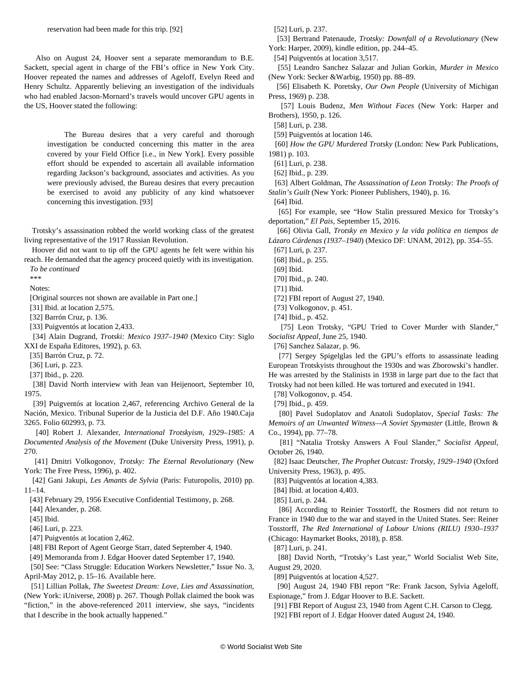Also on August 24, Hoover sent a separate memorandum to B.E. Sackett, special agent in charge of the FBI's office in New York City. Hoover repeated the names and addresses of Ageloff, Evelyn Reed and Henry Schultz. Apparently believing an investigation of the individuals who had enabled Jacson-Mornard's travels would uncover GPU agents in the US, Hoover stated the following:

 The Bureau desires that a very careful and thorough investigation be conducted concerning this matter in the area covered by your Field Office [i.e., in New York]. Every possible effort should be expended to ascertain all available information regarding Jackson's background, associates and activities. As you were previously advised, the Bureau desires that every precaution be exercised to avoid any publicity of any kind whatsoever concerning this investigation. [93]

 Trotsky's assassination robbed the world working class of the greatest living representative of the 1917 Russian Revolution.

 Hoover did not want to tip off the GPU agents he felt were within his reach. He demanded that the agency proceed quietly with its investigation. *To be continued*

\*\*\*

Notes:

[Original sources not shown are available in [Part one](/en/articles/2021/02/06/sylv-f06.html).]

[31] Ibid. at location 2,575.

[32] Barrón Cruz, p. 136.

[33] Puigventós at location 2,433.

 [34] Alain Dugrand, *Trotski: Mexico 1937–1940* (Mexico City: Siglo XXI de España Editores, 1992), p. 63.

[35] Barrón Cruz, p. 72.

[36] Luri, p. 223.

[37] Ibid., p. 220.

 [38] David North interview with Jean van Heijenoort, September 10, 1975.

 [39] Puigventós at location 2,467, referencing Archivo General de la Nación, Mexico. Tribunal Superior de la Justicia del D.F. Año 1940.Caja 3265. Folio 602993, p. 73.

 [40] Robert J. Alexander, *International Trotskyism, 1929–1985: A Documented Analysis of the Movement* (Duke University Press, 1991), p. 270.

 [41] Dmitri Volkogonov, *Trotsky: The Eternal Revolutionary* (New York: The Free Press, 1996), p. 402.

 [42] Gani Jakupi, *Les Amants de Sylvia* (Paris: Futuropolis, 2010) pp. 11–14.

[43] February 29, 1956 Executive Confidential Testimony, p. 268.

[44] Alexander, p. 268.

[45] Ibid.

[46] Luri, p. 223.

[47] Puigventós at location 2,462.

[48] FBI Report of Agent George Starr, dated September 4, 1940.

[49] Memoranda from J. Edgar Hoover dated September 17, 1940.

 [50] See: "Class Struggle: Education Workers Newsletter," Issue No. 3, April-May 2012, p. 15–16. Available [here](http://a.nnotate.com/docs/2012-05-11/WoamqIBX/1204-05%20CSEW%20Newsletter%20No.%203.pdf).

 [51] Lillian Pollak, *The Sweetest Dream: Love, Lies and Assassination*, (New York: iUniverse, 2008) p. 267. Though Pollak claimed the book was "fiction," in the above-referenced 2011 interview, she says, "incidents that I describe in the book actually happened."

[52] Luri, p. 237.

 [53] Bertrand Patenaude, *Trotsky: Downfall of a Revolutionary* (New York: Harper, 2009), kindle edition, pp. 244–45.

[54] Puigventós at location 3,517.

 [55] Leandro Sanchez Salazar and Julian Gorkin, *Murder in Mexico* (New York: Secker &Warbig, 1950) pp. 88–89.

 [56] Elisabeth K. Poretsky, *Our Own People* (University of Michigan Press, 1969) p. 238.

 [57] Louis Budenz, *Men Without Faces* (New York: Harper and Brothers), 1950, p. 126.

[58] Luri, p. 238.

[59] Puigventós at location 146.

 [60] *How the GPU Murdered Trotsky* (London: New Park Publications, 1981) p. 103.

[61] Luri, p. 238.

[62] Ibid., p. 239.

 [63] Albert Goldman, *The Assassination of Leon Trotsky: The Proofs of Stalin's Guilt* (New York: Pioneer Publishers, 1940), p. 16.

[64] Ibid.

 [65] For example, see ["How Stalin pressured Mexico for Trotsky's](https://english.elpais.com/elpais/2016/09/15/inenglish/1473950083_151075.html) [deportation](https://english.elpais.com/elpais/2016/09/15/inenglish/1473950083_151075.html)," *El Pais*, September 15, 2016.

 [66] Olivia Gall, *Trotsky en Mexico y la vida política en tiempos de Lázaro Cárdenas (1937–1940*) (Mexico DF: UNAM, 2012), pp. 354–55.

[67] Luri, p. 237.

[68] Ibid., p. 255.

[69] Ibid.

[70] Ibid., p. 240.

[71] Ibid.

[72] FBI report of August 27, 1940.

[73] Volkogonov, p. 451.

[74] Ibid., p. 452.

 [75] Leon Trotsky, ["GPU Tried to Cover Murder with Slander](https://www.marxists.org/archive/trotsky/1940/06/harte.htm)," *Socialist Appeal*, June 25, 1940.

[76] Sanchez Salazar, p. 96.

 [77] Sergey Spigelglas led the GPU's efforts to assassinate leading European Trotskyists throughout the 1930s and was Zborowski's handler. He was arrested by the Stalinists in 1938 in large part due to the fact that Trotsky had not been killed. He was tortured and executed in 1941.

[78] Volkogonov, p. 454.

[79] Ibid., p. 459.

 [80] Pavel Sudoplatov and Anatoli Sudoplatov, *Special Tasks: The Memoirs of an Unwanted Witness—A Soviet Spymaster* (Little, Brown & Co., 1994), pp. 77–78.

 [81] ["Natalia Trotsky Answers A Foul Slander,](https://archiverebelle.org/pages/36480?main_page=66&search%255Bnames%255D%255B%255D=Socialist+Appeal)" *Socialist Appeal*, October 26, 1940.

 [82] Isaac Deutscher, *The Prophet Outcast: Trotsky, 1929–1940* (Oxford University Press, 1963), p. 495.

[83] Puigventós at location 4,383.

[84] Ibid. at location 4,403.

[85] Luri, p. 244.

 [86] According to Reinier Tosstorff, the Rosmers did not return to France in 1940 due to the war and stayed in the United States. See: Reiner Tosstorff, *The Red International of Labour Unions (RILU) 1930–1937* (Chicago: Haymarket Books, 2018), p. 858.

[87] Luri, p. 241.

 [88] David North, "[Trotsky's Last year,](/en/articles/2020/08/29/ann4-a29.html)" World Socialist Web Site, August 29, 2020.

[89] Puigventós at location 4,527.

 [90] August 24, 1940 FBI report "Re: Frank Jacson, Sylvia Ageloff, Espionage," from J. Edgar Hoover to B.E. Sackett.

[91] FBI Report of August 23, 1940 from Agent C.H. Carson to Clegg.

[92] FBI report of J. Edgar Hoover dated August 24, 1940.